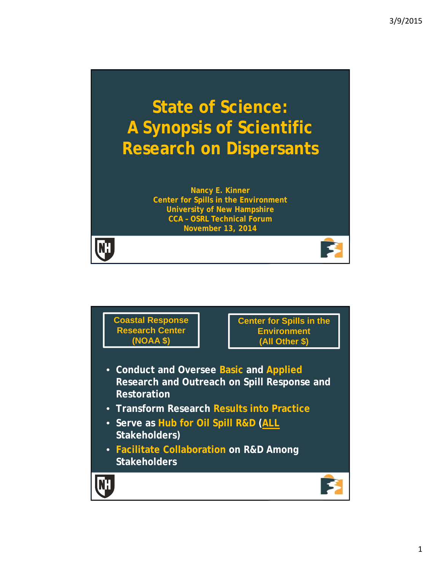# **State of Science: A Synopsis of Scientific Research on Dispersants**

**Nancy E. Kinner Center for Spills in the Environment University of New Hampshire CCA – OSRL Technical Forum November 13, 2014**

**KH** 

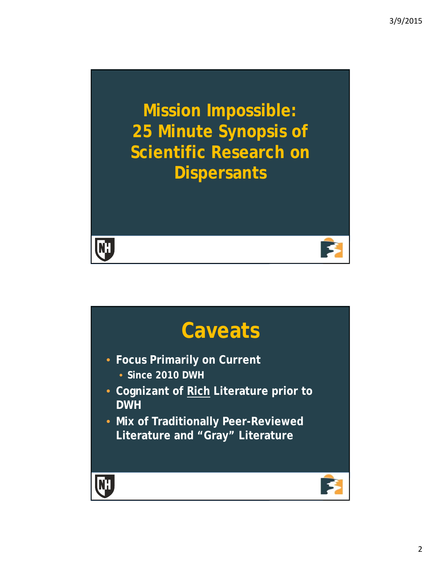**Mission Impossible: 25 Minute Synopsis of Scientific Research on Dispersants**



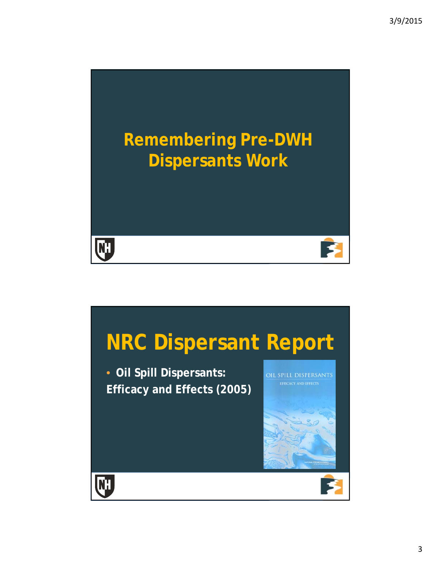

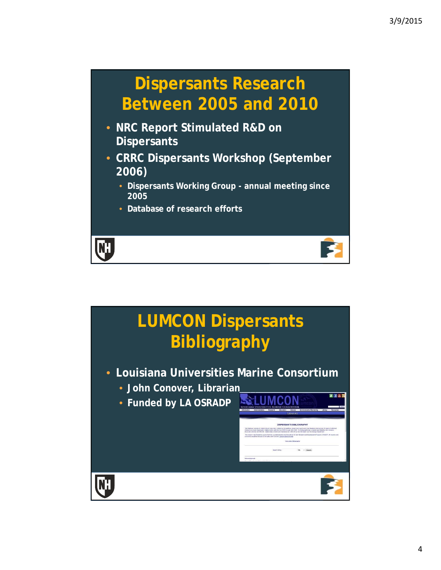



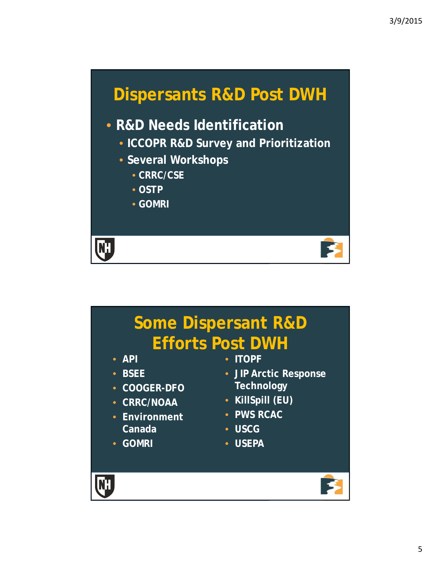

#### • **R&D Needs Identification**

- **ICCOPR R&D Survey and Prioritization**
- **Several Workshops**
	- **CRRC/CSE**
	- **OSTP**
	- **GOMRI**

**KH** 

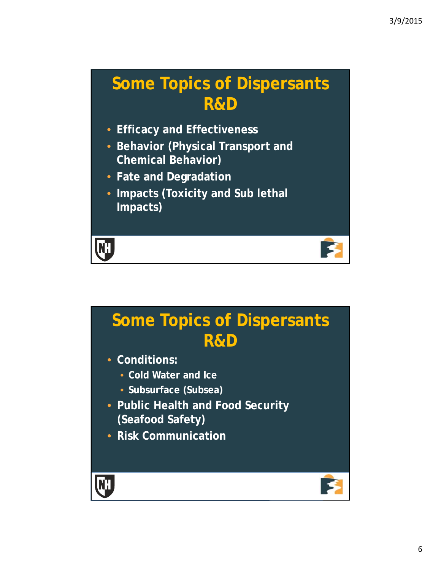12

#### **Some Topics of Dispersants R&D**

- **Efficacy and Effectiveness**
- **Behavior (Physical Transport and Chemical Behavior)**
- **Fate and Degradation**
- **Impacts (Toxicity and Sub lethal Impacts)**

**KH** 

### **Some Topics of Dispersants R&D** • **Conditions:** • **Cold Water and Ice** • **Subsurface (Subsea)**

- **Public Health and Food Security (Seafood Safety)**
- **Risk Communication**

**HA**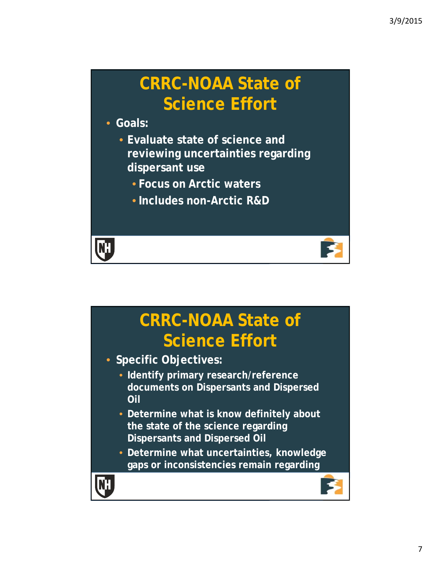### **CRRC-NOAA State of Science Effort**

• **Goals:**

- **Evaluate state of science and reviewing uncertainties regarding dispersant use**
	- **Focus on Arctic waters**
	- **Includes non-Arctic R&D**

**KK** 

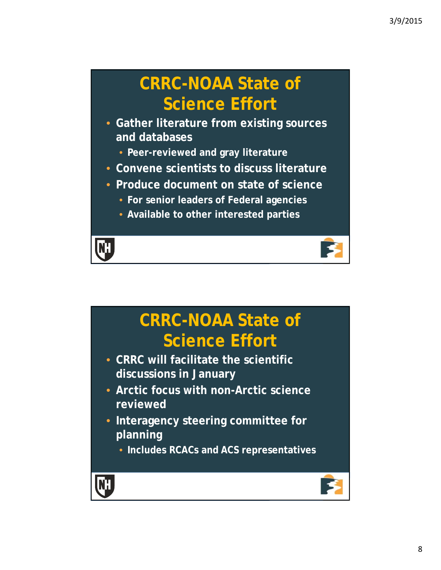### **CRRC-NOAA State of Science Effort**

- **Gather literature from existing sources and databases**
	- **Peer-reviewed and gray literature**
- **Convene scientists to discuss literature**
- **Produce document on state of science**
	- **For senior leaders of Federal agencies**
	- **Available to other interested parties**

**NH** 

#### **CRRC-NOAA State of Science Effort** • **CRRC will facilitate the scientific discussions in January**  • **Arctic focus with non-Arctic science reviewed** • **Interagency steering committee for planning** • **Includes RCACs and ACS representatives NH** 16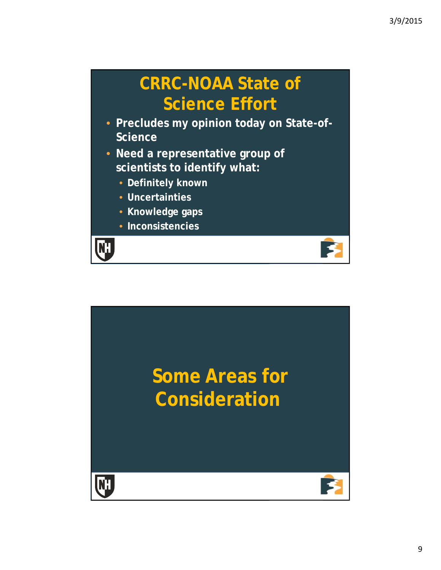### **CRRC-NOAA State of Science Effort**

- **Precludes my opinion today on State-of-Science**
- **Need a representative group of scientists to identify what:**
	- **Definitely known**
	- **Uncertainties**
	- **Knowledge gaps**
	- **Inconsistencies**



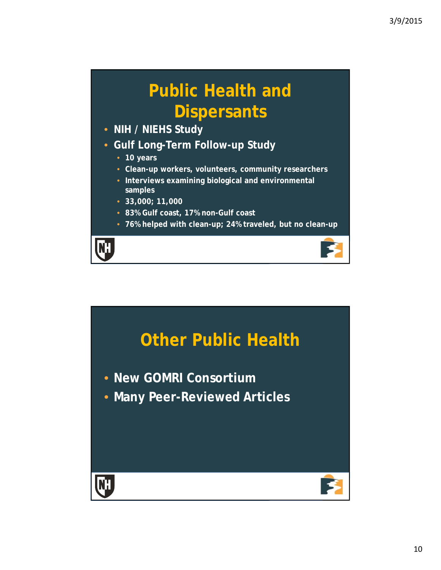## **Public Health and Dispersants**

- **NIH / NIEHS Study**
- **Gulf Long-Term Follow-up Study**
	- **10 years**
	- **Clean-up workers, volunteers, community researchers**
	- **Interviews examining biological and environmental samples**
	- **33,000; 11,000**
	- **83% Gulf coast, 17% non-Gulf coast**
	- **76% helped with clean-up; 24% traveled, but no clean-up**

19

**NH**